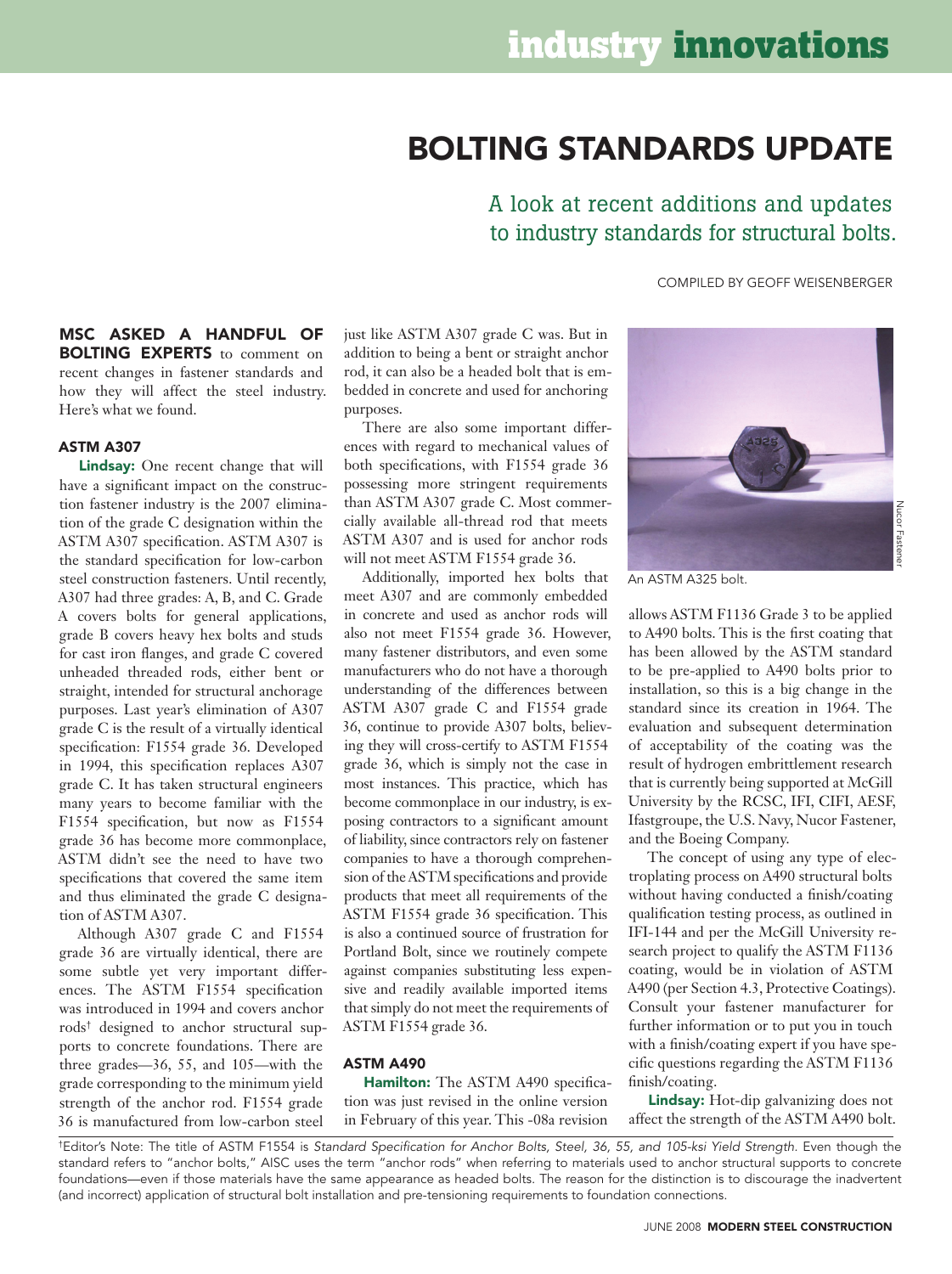# Bolting Standards Update

A look at recent additions and updates to industry standards for structural bolts.

compiled by Geoff Weisenberger

MSC asked a handful of **BOLTING EXPERTS** to comment on recent changes in fastener standards and how they will affect the steel industry. Here's what we found.

## ASTM A307

Lindsay: One recent change that will have a significant impact on the construction fastener industry is the 2007 elimination of the grade C designation within the ASTM A307 specification. ASTM A307 is the standard specification for low-carbon steel construction fasteners. Until recently, A307 had three grades: A, B, and C. Grade A covers bolts for general applications, grade B covers heavy hex bolts and studs for cast iron flanges, and grade C covered unheaded threaded rods, either bent or straight, intended for structural anchorage purposes. Last year's elimination of A307 grade C is the result of a virtually identical specification: F1554 grade 36. Developed in 1994, this specification replaces A307 grade C. It has taken structural engineers many years to become familiar with the F1554 specification, but now as F1554 grade 36 has become more commonplace, ASTM didn't see the need to have two specifications that covered the same item and thus eliminated the grade C designation of ASTM A307.

Although A307 grade C and F1554 grade 36 are virtually identical, there are some subtle yet very important differences. The ASTM F1554 specification was introduced in 1994 and covers anchor rods† designed to anchor structural supports to concrete foundations. There are three grades—36, 55, and 105—with the grade corresponding to the minimum yield strength of the anchor rod. F1554 grade 36 is manufactured from low-carbon steel

just like ASTM A307 grade C was. But in addition to being a bent or straight anchor rod, it can also be a headed bolt that is embedded in concrete and used for anchoring purposes.

There are also some important differences with regard to mechanical values of both specifications, with F1554 grade 36 possessing more stringent requirements than ASTM A307 grade C. Most commercially available all-thread rod that meets ASTM A307 and is used for anchor rods will not meet ASTM F1554 grade 36.

Additionally, imported hex bolts that meet A307 and are commonly embedded in concrete and used as anchor rods will also not meet F1554 grade 36. However, many fastener distributors, and even some manufacturers who do not have a thorough understanding of the differences between ASTM A307 grade C and F1554 grade 36, continue to provide A307 bolts, believing they will cross-certify to ASTM F1554 grade 36, which is simply not the case in most instances. This practice, which has become commonplace in our industry, is exposing contractors to a significant amount of liability, since contractors rely on fastener companies to have a thorough comprehension of the ASTM specifications and provide products that meet all requirements of the ASTM F1554 grade 36 specification. This is also a continued source of frustration for Portland Bolt, since we routinely compete against companies substituting less expensive and readily available imported items that simply do not meet the requirements of ASTM F1554 grade 36.

# ASTM A490

Hamilton: The ASTM A490 specification was just revised in the online version in February of this year. This -08a revision



An ASTM A325 bolt.

allows ASTM F1136 Grade 3 to be applied to A490 bolts. This is the first coating that has been allowed by the ASTM standard to be pre-applied to A490 bolts prior to installation, so this is a big change in the standard since its creation in 1964. The evaluation and subsequent determination of acceptability of the coating was the result of hydrogen embrittlement research that is currently being supported at McGill University by the RCSC, IFI, CIFI, AESF, Ifastgroupe, the U.S. Navy, Nucor Fastener, and the Boeing Company.

The concept of using any type of electroplating process on A490 structural bolts without having conducted a finish/coating qualification testing process, as outlined in IFI-144 and per the McGill University research project to qualify the ASTM F1136 coating, would be in violation of ASTM A490 (per Section 4.3, Protective Coatings). Consult your fastener manufacturer for further information or to put you in touch with a finish/coating expert if you have specific questions regarding the ASTM F1136 finish/coating.

Lindsay: Hot-dip galvanizing does not affect the strength of the ASTM A490 bolt.

†Editor's Note: The title of ASTM F1554 is *Standard Specification for Anchor Bolts, Steel, 36, 55, and 105-ksi Yield Strength.* Even though the standard refers to "anchor bolts," AISC uses the term "anchor rods" when referring to materials used to anchor structural supports to concrete foundations—even if those materials have the same appearance as headed bolts. The reason for the distinction is to discourage the inadvertent (and incorrect) application of structural bolt installation and pre-tensioning requirements to foundation connections.